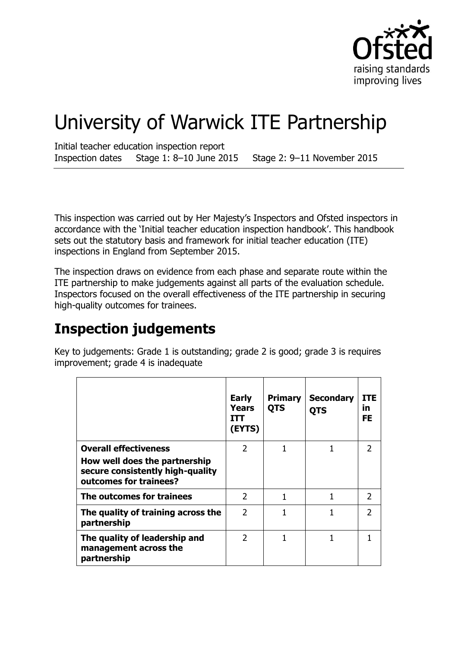

# University of Warwick ITE Partnership

Initial teacher education inspection report Inspection dates Stage 1: 8–10 June 2015 Stage 2: 9–11 November 2015

This inspection was carried out by Her Majesty's Inspectors and Ofsted inspectors in accordance with the 'Initial teacher education inspection handbook'. This handbook sets out the statutory basis and framework for initial teacher education (ITE) inspections in England from September 2015.

The inspection draws on evidence from each phase and separate route within the ITE partnership to make judgements against all parts of the evaluation schedule. Inspectors focused on the overall effectiveness of the ITE partnership in securing high-quality outcomes for trainees.

## **Inspection judgements**

Key to judgements: Grade 1 is outstanding; grade 2 is good; grade 3 is requires improvement; grade 4 is inadequate

|                                                                                                                             | <b>Early</b><br>Years<br>ш<br>(EYTS) | <b>Primary</b><br><b>QTS</b> | <b>Secondary</b><br><b>QTS</b> | <b>ITE</b><br>īn<br>FE |
|-----------------------------------------------------------------------------------------------------------------------------|--------------------------------------|------------------------------|--------------------------------|------------------------|
| <b>Overall effectiveness</b><br>How well does the partnership<br>secure consistently high-quality<br>outcomes for trainees? | $\overline{2}$                       | 1                            |                                | 2                      |
| The outcomes for trainees                                                                                                   | $\overline{2}$                       |                              |                                | 2                      |
| The quality of training across the<br>partnership                                                                           | $\mathcal{P}$                        |                              |                                | フ                      |
| The quality of leadership and<br>management across the<br>partnership                                                       | $\overline{2}$                       |                              |                                |                        |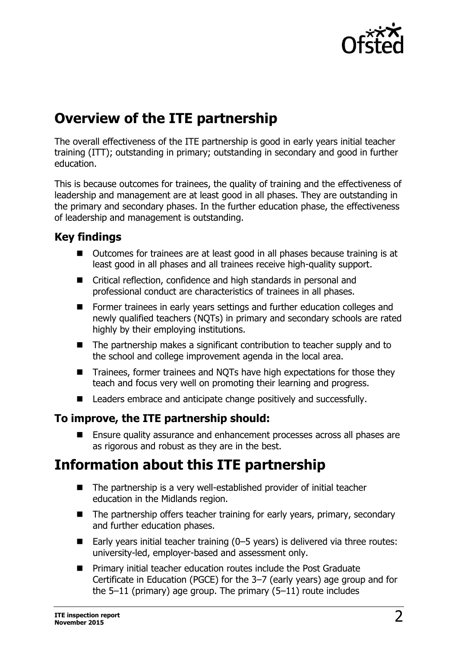

## **Overview of the ITE partnership**

The overall effectiveness of the ITE partnership is good in early years initial teacher training (ITT); outstanding in primary; outstanding in secondary and good in further education.

This is because outcomes for trainees, the quality of training and the effectiveness of leadership and management are at least good in all phases. They are outstanding in the primary and secondary phases. In the further education phase, the effectiveness of leadership and management is outstanding.

## **Key findings**

- Outcomes for trainees are at least good in all phases because training is at least good in all phases and all trainees receive high-quality support.
- Critical reflection, confidence and high standards in personal and professional conduct are characteristics of trainees in all phases.
- Former trainees in early years settings and further education colleges and newly qualified teachers (NQTs) in primary and secondary schools are rated highly by their employing institutions.
- The partnership makes a significant contribution to teacher supply and to the school and college improvement agenda in the local area.
- Trainees, former trainees and NQTs have high expectations for those they teach and focus very well on promoting their learning and progress.
- Leaders embrace and anticipate change positively and successfully.

## **To improve, the ITE partnership should:**

■ Ensure quality assurance and enhancement processes across all phases are as rigorous and robust as they are in the best.

## **Information about this ITE partnership**

- The partnership is a very well-established provider of initial teacher education in the Midlands region.
- $\blacksquare$  The partnership offers teacher training for early years, primary, secondary and further education phases.
- Early years initial teacher training  $(0-5$  years) is delivered via three routes: university-led, employer-based and assessment only.
- **Primary initial teacher education routes include the Post Graduate** Certificate in Education (PGCE) for the 3–7 (early years) age group and for the 5–11 (primary) age group. The primary (5–11) route includes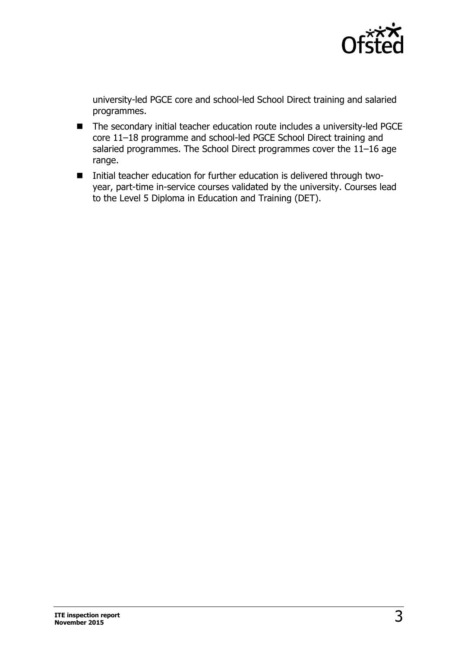

university-led PGCE core and school-led School Direct training and salaried programmes.

- The secondary initial teacher education route includes a university-led PGCE core 11–18 programme and school-led PGCE School Direct training and salaried programmes. The School Direct programmes cover the 11–16 age range.
- Initial teacher education for further education is delivered through twoyear, part-time in-service courses validated by the university. Courses lead to the Level 5 Diploma in Education and Training (DET).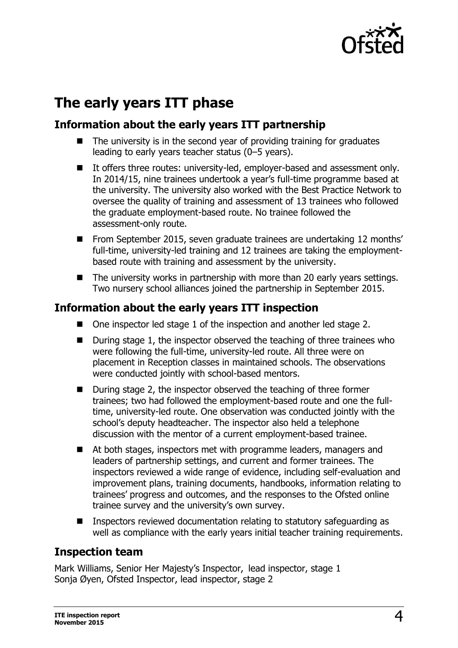

## **The early years ITT phase**

## **Information about the early years ITT partnership**

- The university is in the second year of providing training for graduates leading to early years teacher status (0–5 years).
- It offers three routes: university-led, employer-based and assessment only. In 2014/15, nine trainees undertook a year's full-time programme based at the university. The university also worked with the Best Practice Network to oversee the quality of training and assessment of 13 trainees who followed the graduate employment-based route. No trainee followed the assessment-only route.
- From September 2015, seven graduate trainees are undertaking 12 months' full-time, university-led training and 12 trainees are taking the employmentbased route with training and assessment by the university.
- $\blacksquare$  The university works in partnership with more than 20 early years settings. Two nursery school alliances joined the partnership in September 2015.

## **Information about the early years ITT inspection**

- One inspector led stage 1 of the inspection and another led stage 2.
- During stage 1, the inspector observed the teaching of three trainees who were following the full-time, university-led route. All three were on placement in Reception classes in maintained schools. The observations were conducted jointly with school-based mentors.
- During stage 2, the inspector observed the teaching of three former trainees; two had followed the employment-based route and one the fulltime, university-led route. One observation was conducted jointly with the school's deputy headteacher. The inspector also held a telephone discussion with the mentor of a current employment-based trainee.
- At both stages, inspectors met with programme leaders, managers and leaders of partnership settings, and current and former trainees. The inspectors reviewed a wide range of evidence, including self-evaluation and improvement plans, training documents, handbooks, information relating to trainees' progress and outcomes, and the responses to the Ofsted online trainee survey and the university's own survey.
- Inspectors reviewed documentation relating to statutory safeguarding as well as compliance with the early years initial teacher training requirements.

## **Inspection team**

Mark Williams, Senior Her Majesty's Inspector, lead inspector, stage 1 Sonja Øyen, Ofsted Inspector, lead inspector, stage 2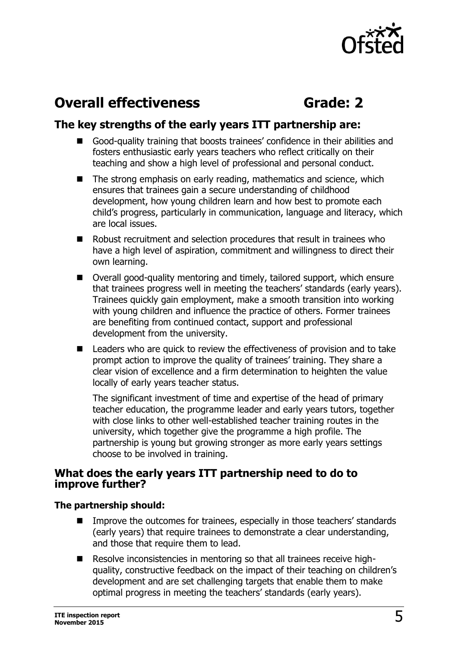

## **Overall effectiveness <b>Grade:** 2

## **The key strengths of the early years ITT partnership are:**

- Good-quality training that boosts trainees' confidence in their abilities and fosters enthusiastic early years teachers who reflect critically on their teaching and show a high level of professional and personal conduct.
- $\blacksquare$  The strong emphasis on early reading, mathematics and science, which ensures that trainees gain a secure understanding of childhood development, how young children learn and how best to promote each child's progress, particularly in communication, language and literacy, which are local issues.
- Robust recruitment and selection procedures that result in trainees who have a high level of aspiration, commitment and willingness to direct their own learning.
- Overall good-quality mentoring and timely, tailored support, which ensure that trainees progress well in meeting the teachers' standards (early years). Trainees quickly gain employment, make a smooth transition into working with young children and influence the practice of others. Former trainees are benefiting from continued contact, support and professional development from the university.
- Leaders who are quick to review the effectiveness of provision and to take prompt action to improve the quality of trainees' training. They share a clear vision of excellence and a firm determination to heighten the value locally of early years teacher status.

The significant investment of time and expertise of the head of primary teacher education, the programme leader and early years tutors, together with close links to other well-established teacher training routes in the university, which together give the programme a high profile. The partnership is young but growing stronger as more early years settings choose to be involved in training.

#### **What does the early years ITT partnership need to do to improve further?**

#### **The partnership should:**

- Improve the outcomes for trainees, especially in those teachers' standards (early years) that require trainees to demonstrate a clear understanding, and those that require them to lead.
- Resolve inconsistencies in mentoring so that all trainees receive highquality, constructive feedback on the impact of their teaching on children's development and are set challenging targets that enable them to make optimal progress in meeting the teachers' standards (early years).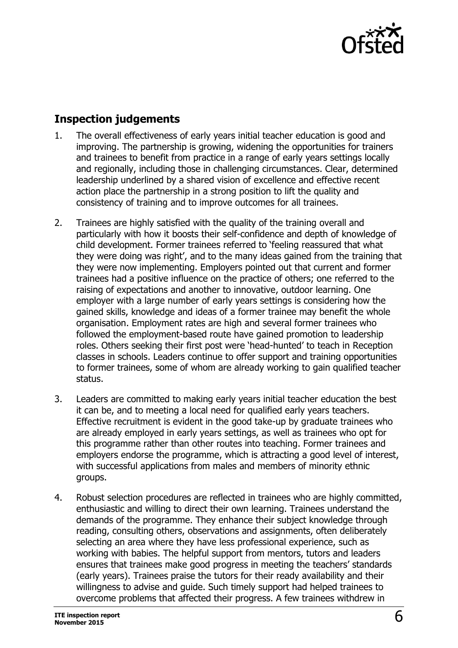

## **Inspection judgements**

- 1. The overall effectiveness of early years initial teacher education is good and improving. The partnership is growing, widening the opportunities for trainers and trainees to benefit from practice in a range of early years settings locally and regionally, including those in challenging circumstances. Clear, determined leadership underlined by a shared vision of excellence and effective recent action place the partnership in a strong position to lift the quality and consistency of training and to improve outcomes for all trainees.
- 2. Trainees are highly satisfied with the quality of the training overall and particularly with how it boosts their self-confidence and depth of knowledge of child development. Former trainees referred to 'feeling reassured that what they were doing was right', and to the many ideas gained from the training that they were now implementing. Employers pointed out that current and former trainees had a positive influence on the practice of others; one referred to the raising of expectations and another to innovative, outdoor learning. One employer with a large number of early years settings is considering how the gained skills, knowledge and ideas of a former trainee may benefit the whole organisation. Employment rates are high and several former trainees who followed the employment-based route have gained promotion to leadership roles. Others seeking their first post were 'head-hunted' to teach in Reception classes in schools. Leaders continue to offer support and training opportunities to former trainees, some of whom are already working to gain qualified teacher status.
- 3. Leaders are committed to making early years initial teacher education the best it can be, and to meeting a local need for qualified early years teachers. Effective recruitment is evident in the good take-up by graduate trainees who are already employed in early years settings, as well as trainees who opt for this programme rather than other routes into teaching. Former trainees and employers endorse the programme, which is attracting a good level of interest, with successful applications from males and members of minority ethnic groups.
- 4. Robust selection procedures are reflected in trainees who are highly committed, enthusiastic and willing to direct their own learning. Trainees understand the demands of the programme. They enhance their subject knowledge through reading, consulting others, observations and assignments, often deliberately selecting an area where they have less professional experience, such as working with babies. The helpful support from mentors, tutors and leaders ensures that trainees make good progress in meeting the teachers' standards (early years). Trainees praise the tutors for their ready availability and their willingness to advise and guide. Such timely support had helped trainees to overcome problems that affected their progress. A few trainees withdrew in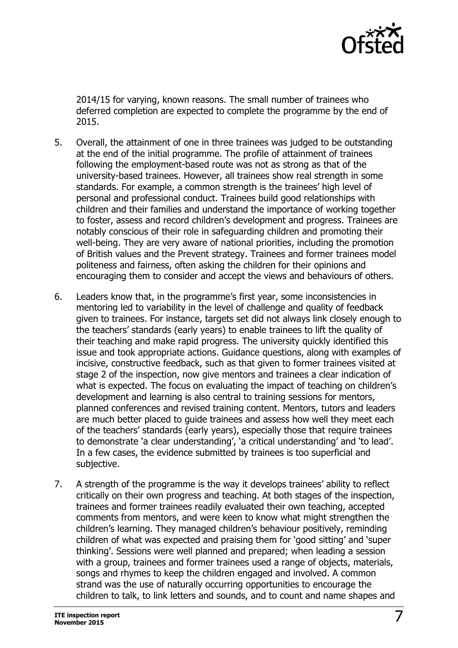

2014/15 for varying, known reasons. The small number of trainees who deferred completion are expected to complete the programme by the end of 2015.

- 5. Overall, the attainment of one in three trainees was judged to be outstanding at the end of the initial programme. The profile of attainment of trainees following the employment-based route was not as strong as that of the university-based trainees. However, all trainees show real strength in some standards. For example, a common strength is the trainees' high level of personal and professional conduct. Trainees build good relationships with children and their families and understand the importance of working together to foster, assess and record children's development and progress. Trainees are notably conscious of their role in safeguarding children and promoting their well-being. They are very aware of national priorities, including the promotion of British values and the Prevent strategy. Trainees and former trainees model politeness and fairness, often asking the children for their opinions and encouraging them to consider and accept the views and behaviours of others.
- 6. Leaders know that, in the programme's first year, some inconsistencies in mentoring led to variability in the level of challenge and quality of feedback given to trainees. For instance, targets set did not always link closely enough to the teachers' standards (early years) to enable trainees to lift the quality of their teaching and make rapid progress. The university quickly identified this issue and took appropriate actions. Guidance questions, along with examples of incisive, constructive feedback, such as that given to former trainees visited at stage 2 of the inspection, now give mentors and trainees a clear indication of what is expected. The focus on evaluating the impact of teaching on children's development and learning is also central to training sessions for mentors, planned conferences and revised training content. Mentors, tutors and leaders are much better placed to guide trainees and assess how well they meet each of the teachers' standards (early years), especially those that require trainees to demonstrate 'a clear understanding', 'a critical understanding' and 'to lead'. In a few cases, the evidence submitted by trainees is too superficial and subjective.
- 7. A strength of the programme is the way it develops trainees' ability to reflect critically on their own progress and teaching. At both stages of the inspection, trainees and former trainees readily evaluated their own teaching, accepted comments from mentors, and were keen to know what might strengthen the children's learning. They managed children's behaviour positively, reminding children of what was expected and praising them for 'good sitting' and 'super thinking'. Sessions were well planned and prepared; when leading a session with a group, trainees and former trainees used a range of objects, materials, songs and rhymes to keep the children engaged and involved. A common strand was the use of naturally occurring opportunities to encourage the children to talk, to link letters and sounds, and to count and name shapes and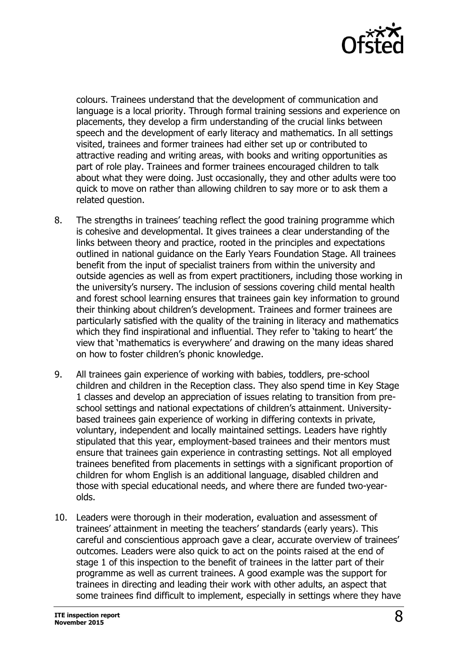

colours. Trainees understand that the development of communication and language is a local priority. Through formal training sessions and experience on placements, they develop a firm understanding of the crucial links between speech and the development of early literacy and mathematics. In all settings visited, trainees and former trainees had either set up or contributed to attractive reading and writing areas, with books and writing opportunities as part of role play. Trainees and former trainees encouraged children to talk about what they were doing. Just occasionally, they and other adults were too quick to move on rather than allowing children to say more or to ask them a related question.

- 8. The strengths in trainees' teaching reflect the good training programme which is cohesive and developmental. It gives trainees a clear understanding of the links between theory and practice, rooted in the principles and expectations outlined in national guidance on the Early Years Foundation Stage. All trainees benefit from the input of specialist trainers from within the university and outside agencies as well as from expert practitioners, including those working in the university's nursery. The inclusion of sessions covering child mental health and forest school learning ensures that trainees gain key information to ground their thinking about children's development. Trainees and former trainees are particularly satisfied with the quality of the training in literacy and mathematics which they find inspirational and influential. They refer to 'taking to heart' the view that 'mathematics is everywhere' and drawing on the many ideas shared on how to foster children's phonic knowledge.
- 9. All trainees gain experience of working with babies, toddlers, pre-school children and children in the Reception class. They also spend time in Key Stage 1 classes and develop an appreciation of issues relating to transition from preschool settings and national expectations of children's attainment. Universitybased trainees gain experience of working in differing contexts in private, voluntary, independent and locally maintained settings. Leaders have rightly stipulated that this year, employment-based trainees and their mentors must ensure that trainees gain experience in contrasting settings. Not all employed trainees benefited from placements in settings with a significant proportion of children for whom English is an additional language, disabled children and those with special educational needs, and where there are funded two-yearolds.
- 10. Leaders were thorough in their moderation, evaluation and assessment of trainees' attainment in meeting the teachers' standards (early years). This careful and conscientious approach gave a clear, accurate overview of trainees' outcomes. Leaders were also quick to act on the points raised at the end of stage 1 of this inspection to the benefit of trainees in the latter part of their programme as well as current trainees. A good example was the support for trainees in directing and leading their work with other adults, an aspect that some trainees find difficult to implement, especially in settings where they have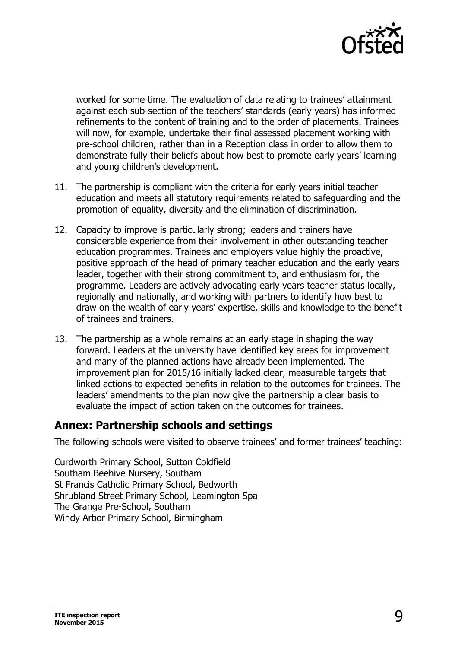

worked for some time. The evaluation of data relating to trainees' attainment against each sub-section of the teachers' standards (early years) has informed refinements to the content of training and to the order of placements. Trainees will now, for example, undertake their final assessed placement working with pre-school children, rather than in a Reception class in order to allow them to demonstrate fully their beliefs about how best to promote early years' learning and young children's development.

- 11. The partnership is compliant with the criteria for early years initial teacher education and meets all statutory requirements related to safeguarding and the promotion of equality, diversity and the elimination of discrimination.
- 12. Capacity to improve is particularly strong; leaders and trainers have considerable experience from their involvement in other outstanding teacher education programmes. Trainees and employers value highly the proactive, positive approach of the head of primary teacher education and the early years leader, together with their strong commitment to, and enthusiasm for, the programme. Leaders are actively advocating early years teacher status locally, regionally and nationally, and working with partners to identify how best to draw on the wealth of early years' expertise, skills and knowledge to the benefit of trainees and trainers.
- 13. The partnership as a whole remains at an early stage in shaping the way forward. Leaders at the university have identified key areas for improvement and many of the planned actions have already been implemented. The improvement plan for 2015/16 initially lacked clear, measurable targets that linked actions to expected benefits in relation to the outcomes for trainees. The leaders' amendments to the plan now give the partnership a clear basis to evaluate the impact of action taken on the outcomes for trainees.

## **Annex: Partnership schools and settings**

The following schools were visited to observe trainees' and former trainees' teaching:

Curdworth Primary School, Sutton Coldfield Southam Beehive Nursery, Southam St Francis Catholic Primary School, Bedworth Shrubland Street Primary School, Leamington Spa The Grange Pre-School, Southam Windy Arbor Primary School, Birmingham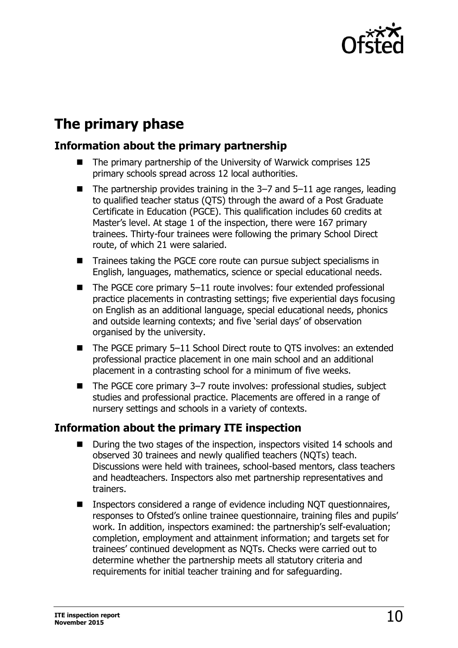

## **The primary phase**

## **Information about the primary partnership**

- The primary partnership of the University of Warwick comprises 125 primary schools spread across 12 local authorities.
- $\blacksquare$  The partnership provides training in the 3-7 and 5-11 age ranges, leading to qualified teacher status (QTS) through the award of a Post Graduate Certificate in Education (PGCE). This qualification includes 60 credits at Master's level. At stage 1 of the inspection, there were 167 primary trainees. Thirty-four trainees were following the primary School Direct route, of which 21 were salaried.
- Trainees taking the PGCE core route can pursue subject specialisms in English, languages, mathematics, science or special educational needs.
- The PGCE core primary 5–11 route involves: four extended professional practice placements in contrasting settings; five experiential days focusing on English as an additional language, special educational needs, phonics and outside learning contexts; and five 'serial days' of observation organised by the university.
- The PGCE primary 5-11 School Direct route to QTS involves: an extended professional practice placement in one main school and an additional placement in a contrasting school for a minimum of five weeks.
- The PGCE core primary 3–7 route involves: professional studies, subject studies and professional practice. Placements are offered in a range of nursery settings and schools in a variety of contexts.

## **Information about the primary ITE inspection**

- During the two stages of the inspection, inspectors visited 14 schools and observed 30 trainees and newly qualified teachers (NQTs) teach. Discussions were held with trainees, school-based mentors, class teachers and headteachers. Inspectors also met partnership representatives and trainers.
- Inspectors considered a range of evidence including NOT questionnaires, responses to Ofsted's online trainee questionnaire, training files and pupils' work. In addition, inspectors examined: the partnership's self-evaluation; completion, employment and attainment information; and targets set for trainees' continued development as NQTs. Checks were carried out to determine whether the partnership meets all statutory criteria and requirements for initial teacher training and for safeguarding.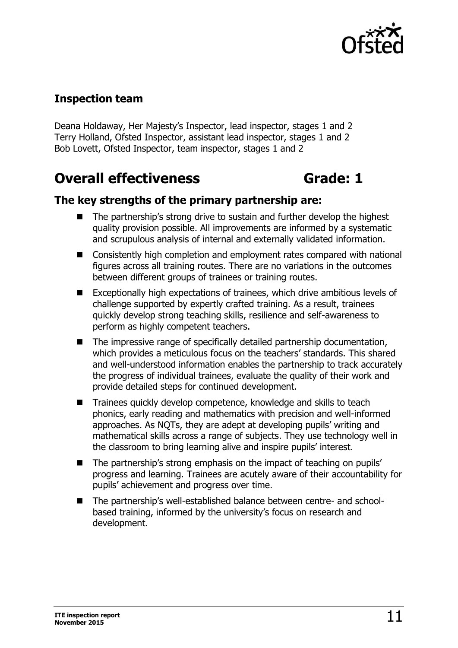

## **Inspection team**

Deana Holdaway, Her Majesty's Inspector, lead inspector, stages 1 and 2 Terry Holland, Ofsted Inspector, assistant lead inspector, stages 1 and 2 Bob Lovett, Ofsted Inspector, team inspector, stages 1 and 2

## **Overall effectiveness <b>Grade:** 1

### **The key strengths of the primary partnership are:**

- The partnership's strong drive to sustain and further develop the highest quality provision possible. All improvements are informed by a systematic and scrupulous analysis of internal and externally validated information.
- Consistently high completion and employment rates compared with national figures across all training routes. There are no variations in the outcomes between different groups of trainees or training routes.
- Exceptionally high expectations of trainees, which drive ambitious levels of challenge supported by expertly crafted training. As a result, trainees quickly develop strong teaching skills, resilience and self-awareness to perform as highly competent teachers.
- $\blacksquare$  The impressive range of specifically detailed partnership documentation, which provides a meticulous focus on the teachers' standards. This shared and well-understood information enables the partnership to track accurately the progress of individual trainees, evaluate the quality of their work and provide detailed steps for continued development.
- Trainees quickly develop competence, knowledge and skills to teach phonics, early reading and mathematics with precision and well-informed approaches. As NQTs, they are adept at developing pupils' writing and mathematical skills across a range of subjects. They use technology well in the classroom to bring learning alive and inspire pupils' interest.
- The partnership's strong emphasis on the impact of teaching on pupils' progress and learning. Trainees are acutely aware of their accountability for pupils' achievement and progress over time.
- The partnership's well-established balance between centre- and schoolbased training, informed by the university's focus on research and development.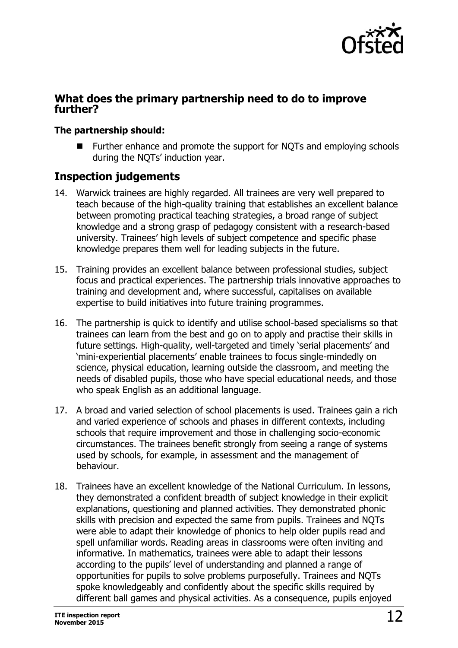

#### **What does the primary partnership need to do to improve further?**

#### **The partnership should:**

 Further enhance and promote the support for NQTs and employing schools during the NQTs' induction year.

## **Inspection judgements**

- 14. Warwick trainees are highly regarded. All trainees are very well prepared to teach because of the high-quality training that establishes an excellent balance between promoting practical teaching strategies, a broad range of subject knowledge and a strong grasp of pedagogy consistent with a research-based university. Trainees' high levels of subject competence and specific phase knowledge prepares them well for leading subjects in the future.
- 15. Training provides an excellent balance between professional studies, subject focus and practical experiences. The partnership trials innovative approaches to training and development and, where successful, capitalises on available expertise to build initiatives into future training programmes.
- 16. The partnership is quick to identify and utilise school-based specialisms so that trainees can learn from the best and go on to apply and practise their skills in future settings. High-quality, well-targeted and timely 'serial placements' and 'mini-experiential placements' enable trainees to focus single-mindedly on science, physical education, learning outside the classroom, and meeting the needs of disabled pupils, those who have special educational needs, and those who speak English as an additional language.
- 17. A broad and varied selection of school placements is used. Trainees gain a rich and varied experience of schools and phases in different contexts, including schools that require improvement and those in challenging socio-economic circumstances. The trainees benefit strongly from seeing a range of systems used by schools, for example, in assessment and the management of behaviour.
- 18. Trainees have an excellent knowledge of the National Curriculum. In lessons, they demonstrated a confident breadth of subject knowledge in their explicit explanations, questioning and planned activities. They demonstrated phonic skills with precision and expected the same from pupils. Trainees and NQTs were able to adapt their knowledge of phonics to help older pupils read and spell unfamiliar words. Reading areas in classrooms were often inviting and informative. In mathematics, trainees were able to adapt their lessons according to the pupils' level of understanding and planned a range of opportunities for pupils to solve problems purposefully. Trainees and NQTs spoke knowledgeably and confidently about the specific skills required by different ball games and physical activities. As a consequence, pupils enjoyed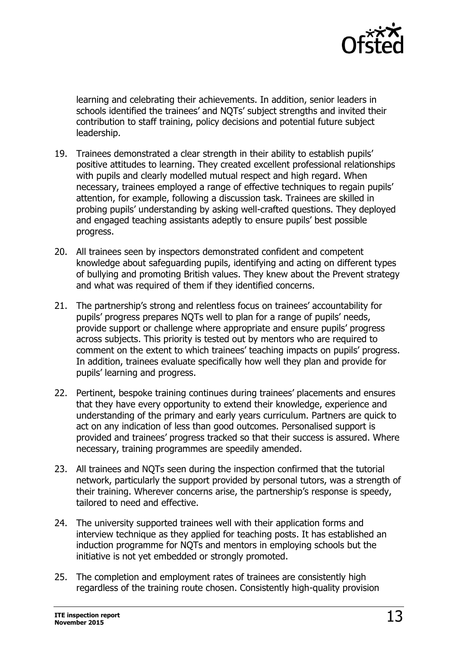

learning and celebrating their achievements. In addition, senior leaders in schools identified the trainees' and NQTs' subject strengths and invited their contribution to staff training, policy decisions and potential future subject leadership.

- 19. Trainees demonstrated a clear strength in their ability to establish pupils' positive attitudes to learning. They created excellent professional relationships with pupils and clearly modelled mutual respect and high regard. When necessary, trainees employed a range of effective techniques to regain pupils' attention, for example, following a discussion task. Trainees are skilled in probing pupils' understanding by asking well-crafted questions. They deployed and engaged teaching assistants adeptly to ensure pupils' best possible progress.
- 20. All trainees seen by inspectors demonstrated confident and competent knowledge about safeguarding pupils, identifying and acting on different types of bullying and promoting British values. They knew about the Prevent strategy and what was required of them if they identified concerns.
- 21. The partnership's strong and relentless focus on trainees' accountability for pupils' progress prepares NQTs well to plan for a range of pupils' needs, provide support or challenge where appropriate and ensure pupils' progress across subjects. This priority is tested out by mentors who are required to comment on the extent to which trainees' teaching impacts on pupils' progress. In addition, trainees evaluate specifically how well they plan and provide for pupils' learning and progress.
- 22. Pertinent, bespoke training continues during trainees' placements and ensures that they have every opportunity to extend their knowledge, experience and understanding of the primary and early years curriculum. Partners are quick to act on any indication of less than good outcomes. Personalised support is provided and trainees' progress tracked so that their success is assured. Where necessary, training programmes are speedily amended.
- 23. All trainees and NQTs seen during the inspection confirmed that the tutorial network, particularly the support provided by personal tutors, was a strength of their training. Wherever concerns arise, the partnership's response is speedy, tailored to need and effective.
- 24. The university supported trainees well with their application forms and interview technique as they applied for teaching posts. It has established an induction programme for NQTs and mentors in employing schools but the initiative is not yet embedded or strongly promoted.
- 25. The completion and employment rates of trainees are consistently high regardless of the training route chosen. Consistently high-quality provision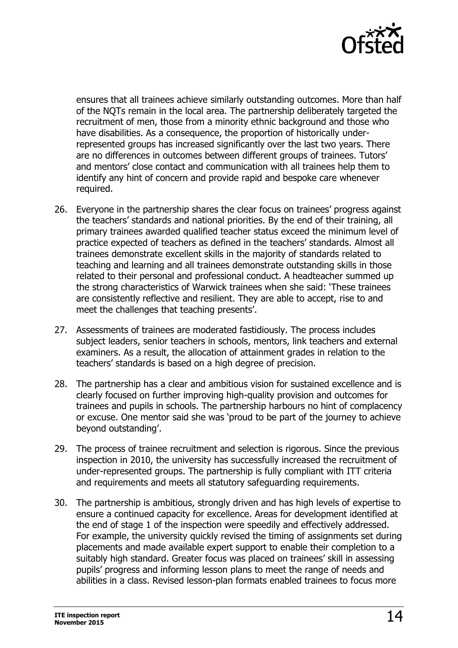

ensures that all trainees achieve similarly outstanding outcomes. More than half of the NQTs remain in the local area. The partnership deliberately targeted the recruitment of men, those from a minority ethnic background and those who have disabilities. As a consequence, the proportion of historically underrepresented groups has increased significantly over the last two years. There are no differences in outcomes between different groups of trainees. Tutors' and mentors' close contact and communication with all trainees help them to identify any hint of concern and provide rapid and bespoke care whenever required.

- 26. Everyone in the partnership shares the clear focus on trainees' progress against the teachers' standards and national priorities. By the end of their training, all primary trainees awarded qualified teacher status exceed the minimum level of practice expected of teachers as defined in the teachers' standards. Almost all trainees demonstrate excellent skills in the majority of standards related to teaching and learning and all trainees demonstrate outstanding skills in those related to their personal and professional conduct. A headteacher summed up the strong characteristics of Warwick trainees when she said: 'These trainees are consistently reflective and resilient. They are able to accept, rise to and meet the challenges that teaching presents'.
- 27. Assessments of trainees are moderated fastidiously. The process includes subject leaders, senior teachers in schools, mentors, link teachers and external examiners. As a result, the allocation of attainment grades in relation to the teachers' standards is based on a high degree of precision.
- 28. The partnership has a clear and ambitious vision for sustained excellence and is clearly focused on further improving high-quality provision and outcomes for trainees and pupils in schools. The partnership harbours no hint of complacency or excuse. One mentor said she was 'proud to be part of the journey to achieve beyond outstanding'.
- 29. The process of trainee recruitment and selection is rigorous. Since the previous inspection in 2010, the university has successfully increased the recruitment of under-represented groups. The partnership is fully compliant with ITT criteria and requirements and meets all statutory safeguarding requirements.
- 30. The partnership is ambitious, strongly driven and has high levels of expertise to ensure a continued capacity for excellence. Areas for development identified at the end of stage 1 of the inspection were speedily and effectively addressed. For example, the university quickly revised the timing of assignments set during placements and made available expert support to enable their completion to a suitably high standard. Greater focus was placed on trainees' skill in assessing pupils' progress and informing lesson plans to meet the range of needs and abilities in a class. Revised lesson-plan formats enabled trainees to focus more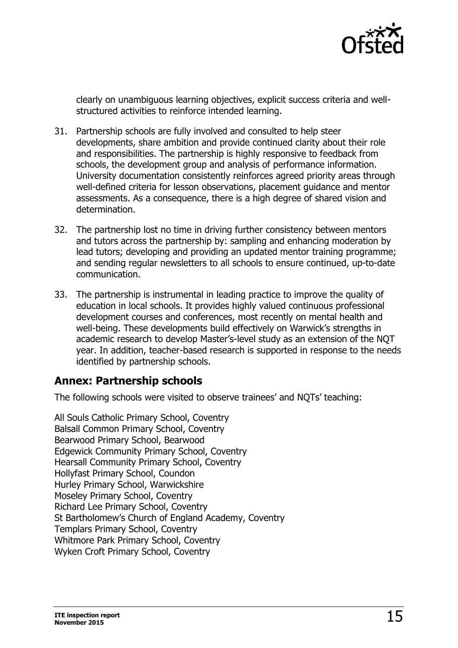

clearly on unambiguous learning objectives, explicit success criteria and wellstructured activities to reinforce intended learning.

- 31. Partnership schools are fully involved and consulted to help steer developments, share ambition and provide continued clarity about their role and responsibilities. The partnership is highly responsive to feedback from schools, the development group and analysis of performance information. University documentation consistently reinforces agreed priority areas through well-defined criteria for lesson observations, placement guidance and mentor assessments. As a consequence, there is a high degree of shared vision and determination.
- 32. The partnership lost no time in driving further consistency between mentors and tutors across the partnership by: sampling and enhancing moderation by lead tutors; developing and providing an updated mentor training programme; and sending regular newsletters to all schools to ensure continued, up-to-date communication.
- 33. The partnership is instrumental in leading practice to improve the quality of education in local schools. It provides highly valued continuous professional development courses and conferences, most recently on mental health and well-being. These developments build effectively on Warwick's strengths in academic research to develop Master's-level study as an extension of the NQT year. In addition, teacher-based research is supported in response to the needs identified by partnership schools.

## **Annex: Partnership schools**

The following schools were visited to observe trainees' and NQTs' teaching:

All Souls Catholic Primary School, Coventry Balsall Common Primary School, Coventry Bearwood Primary School, Bearwood Edgewick Community Primary School, Coventry Hearsall Community Primary School, Coventry Hollyfast Primary School, Coundon Hurley Primary School, Warwickshire Moseley Primary School, Coventry Richard Lee Primary School, Coventry St Bartholomew's Church of England Academy, Coventry Templars Primary School, Coventry Whitmore Park Primary School, Coventry Wyken Croft Primary School, Coventry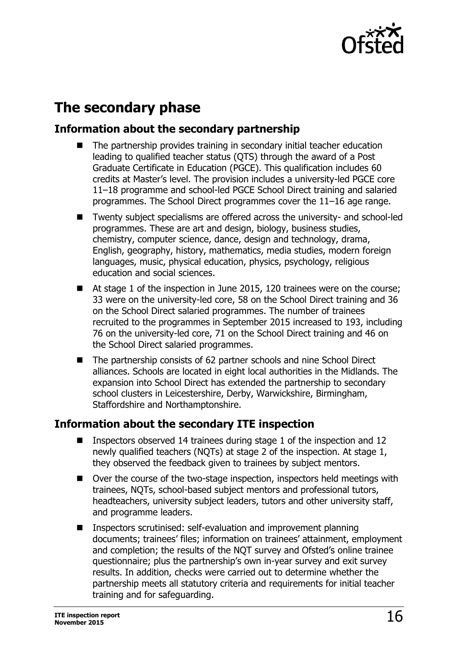

## **The secondary phase**

## **Information about the secondary partnership**

- The partnership provides training in secondary initial teacher education leading to qualified teacher status (QTS) through the award of a Post Graduate Certificate in Education (PGCE). This qualification includes 60 credits at Master's level. The provision includes a university-led PGCE core 11–18 programme and school-led PGCE School Direct training and salaried programmes. The School Direct programmes cover the 11–16 age range.
- Twenty subject specialisms are offered across the university- and school-led programmes. These are art and design, biology, business studies, chemistry, computer science, dance, design and technology, drama, English, geography, history, mathematics, media studies, modern foreign languages, music, physical education, physics, psychology, religious education and social sciences.
- At stage 1 of the inspection in June 2015, 120 trainees were on the course; 33 were on the university-led core, 58 on the School Direct training and 36 on the School Direct salaried programmes. The number of trainees recruited to the programmes in September 2015 increased to 193, including 76 on the university-led core, 71 on the School Direct training and 46 on the School Direct salaried programmes.
- The partnership consists of 62 partner schools and nine School Direct alliances. Schools are located in eight local authorities in the Midlands. The expansion into School Direct has extended the partnership to secondary school clusters in Leicestershire, Derby, Warwickshire, Birmingham, Staffordshire and Northamptonshire.

## **Information about the secondary ITE inspection**

- Inspectors observed 14 trainees during stage 1 of the inspection and 12 newly qualified teachers (NQTs) at stage 2 of the inspection. At stage 1, they observed the feedback given to trainees by subject mentors.
- Over the course of the two-stage inspection, inspectors held meetings with trainees, NQTs, school-based subject mentors and professional tutors, headteachers, university subject leaders, tutors and other university staff, and programme leaders.
- Inspectors scrutinised: self-evaluation and improvement planning documents; trainees' files; information on trainees' attainment, employment and completion; the results of the NQT survey and Ofsted's online trainee questionnaire; plus the partnership's own in-year survey and exit survey results. In addition, checks were carried out to determine whether the partnership meets all statutory criteria and requirements for initial teacher training and for safeguarding.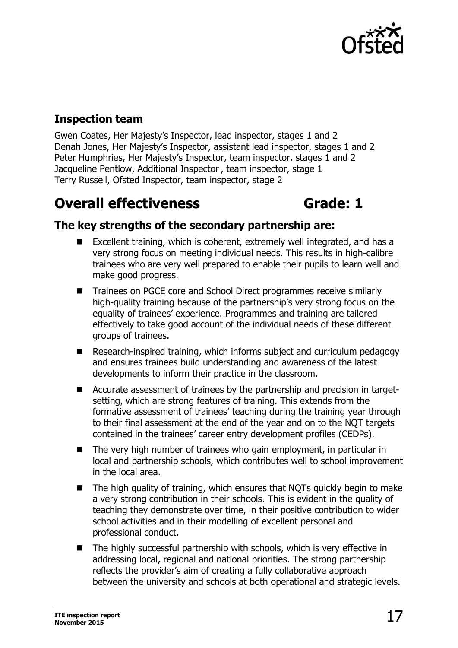

## **Inspection team**

Gwen Coates, Her Majesty's Inspector, lead inspector, stages 1 and 2 Denah Jones, Her Majesty's Inspector, assistant lead inspector, stages 1 and 2 Peter Humphries, Her Majesty's Inspector, team inspector, stages 1 and 2 Jacqueline Pentlow, Additional Inspector , team inspector, stage 1 Terry Russell, Ofsted Inspector, team inspector, stage 2

## **Overall effectiveness Grade: 1**

## **The key strengths of the secondary partnership are:**

- Excellent training, which is coherent, extremely well integrated, and has a very strong focus on meeting individual needs. This results in high-calibre trainees who are very well prepared to enable their pupils to learn well and make good progress.
- Trainees on PGCE core and School Direct programmes receive similarly high-quality training because of the partnership's very strong focus on the equality of trainees' experience. Programmes and training are tailored effectively to take good account of the individual needs of these different groups of trainees.
- Research-inspired training, which informs subject and curriculum pedagogy and ensures trainees build understanding and awareness of the latest developments to inform their practice in the classroom.
- Accurate assessment of trainees by the partnership and precision in targetsetting, which are strong features of training. This extends from the formative assessment of trainees' teaching during the training year through to their final assessment at the end of the year and on to the NQT targets contained in the trainees' career entry development profiles (CEDPs).
- The very high number of trainees who gain employment, in particular in local and partnership schools, which contributes well to school improvement in the local area.
- The high quality of training, which ensures that NOTs quickly begin to make a very strong contribution in their schools. This is evident in the quality of teaching they demonstrate over time, in their positive contribution to wider school activities and in their modelling of excellent personal and professional conduct.
- The highly successful partnership with schools, which is very effective in addressing local, regional and national priorities. The strong partnership reflects the provider's aim of creating a fully collaborative approach between the university and schools at both operational and strategic levels.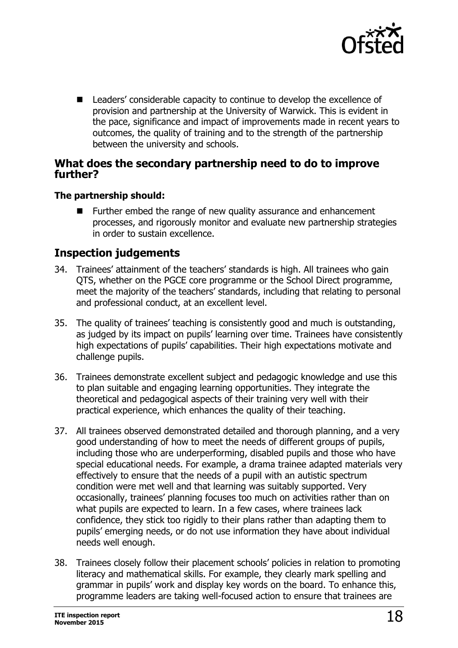

■ Leaders' considerable capacity to continue to develop the excellence of provision and partnership at the University of Warwick. This is evident in the pace, significance and impact of improvements made in recent years to outcomes, the quality of training and to the strength of the partnership between the university and schools.

#### **What does the secondary partnership need to do to improve further?**

#### **The partnership should:**

■ Further embed the range of new quality assurance and enhancement processes, and rigorously monitor and evaluate new partnership strategies in order to sustain excellence.

### **Inspection judgements**

- 34. Trainees' attainment of the teachers' standards is high. All trainees who gain QTS, whether on the PGCE core programme or the School Direct programme, meet the majority of the teachers' standards, including that relating to personal and professional conduct, at an excellent level.
- 35. The quality of trainees' teaching is consistently good and much is outstanding, as judged by its impact on pupils' learning over time. Trainees have consistently high expectations of pupils' capabilities. Their high expectations motivate and challenge pupils.
- 36. Trainees demonstrate excellent subject and pedagogic knowledge and use this to plan suitable and engaging learning opportunities. They integrate the theoretical and pedagogical aspects of their training very well with their practical experience, which enhances the quality of their teaching.
- 37. All trainees observed demonstrated detailed and thorough planning, and a very good understanding of how to meet the needs of different groups of pupils, including those who are underperforming, disabled pupils and those who have special educational needs. For example, a drama trainee adapted materials very effectively to ensure that the needs of a pupil with an autistic spectrum condition were met well and that learning was suitably supported. Very occasionally, trainees' planning focuses too much on activities rather than on what pupils are expected to learn. In a few cases, where trainees lack confidence, they stick too rigidly to their plans rather than adapting them to pupils' emerging needs, or do not use information they have about individual needs well enough.
- 38. Trainees closely follow their placement schools' policies in relation to promoting literacy and mathematical skills. For example, they clearly mark spelling and grammar in pupils' work and display key words on the board. To enhance this, programme leaders are taking well-focused action to ensure that trainees are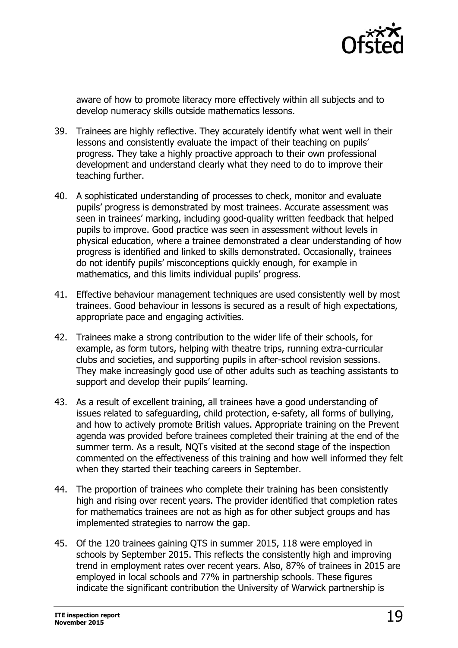

aware of how to promote literacy more effectively within all subjects and to develop numeracy skills outside mathematics lessons.

- 39. Trainees are highly reflective. They accurately identify what went well in their lessons and consistently evaluate the impact of their teaching on pupils' progress. They take a highly proactive approach to their own professional development and understand clearly what they need to do to improve their teaching further.
- 40. A sophisticated understanding of processes to check, monitor and evaluate pupils' progress is demonstrated by most trainees. Accurate assessment was seen in trainees' marking, including good-quality written feedback that helped pupils to improve. Good practice was seen in assessment without levels in physical education, where a trainee demonstrated a clear understanding of how progress is identified and linked to skills demonstrated. Occasionally, trainees do not identify pupils' misconceptions quickly enough, for example in mathematics, and this limits individual pupils' progress.
- 41. Effective behaviour management techniques are used consistently well by most trainees. Good behaviour in lessons is secured as a result of high expectations, appropriate pace and engaging activities.
- 42. Trainees make a strong contribution to the wider life of their schools, for example, as form tutors, helping with theatre trips, running extra-curricular clubs and societies, and supporting pupils in after-school revision sessions. They make increasingly good use of other adults such as teaching assistants to support and develop their pupils' learning.
- 43. As a result of excellent training, all trainees have a good understanding of issues related to safeguarding, child protection, e-safety, all forms of bullying, and how to actively promote British values. Appropriate training on the Prevent agenda was provided before trainees completed their training at the end of the summer term. As a result, NQTs visited at the second stage of the inspection commented on the effectiveness of this training and how well informed they felt when they started their teaching careers in September.
- 44. The proportion of trainees who complete their training has been consistently high and rising over recent years. The provider identified that completion rates for mathematics trainees are not as high as for other subject groups and has implemented strategies to narrow the gap.
- 45. Of the 120 trainees gaining QTS in summer 2015, 118 were employed in schools by September 2015. This reflects the consistently high and improving trend in employment rates over recent years. Also, 87% of trainees in 2015 are employed in local schools and 77% in partnership schools. These figures indicate the significant contribution the University of Warwick partnership is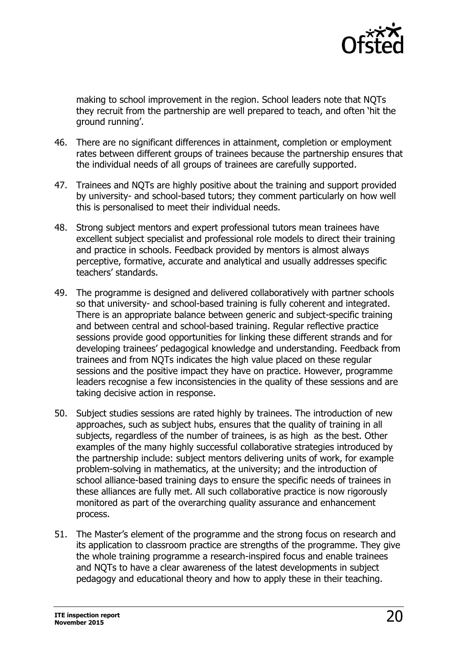

making to school improvement in the region. School leaders note that NQTs they recruit from the partnership are well prepared to teach, and often 'hit the ground running'.

- 46. There are no significant differences in attainment, completion or employment rates between different groups of trainees because the partnership ensures that the individual needs of all groups of trainees are carefully supported.
- 47. Trainees and NQTs are highly positive about the training and support provided by university- and school-based tutors; they comment particularly on how well this is personalised to meet their individual needs.
- 48. Strong subject mentors and expert professional tutors mean trainees have excellent subject specialist and professional role models to direct their training and practice in schools. Feedback provided by mentors is almost always perceptive, formative, accurate and analytical and usually addresses specific teachers' standards.
- 49. The programme is designed and delivered collaboratively with partner schools so that university- and school-based training is fully coherent and integrated. There is an appropriate balance between generic and subject-specific training and between central and school-based training. Regular reflective practice sessions provide good opportunities for linking these different strands and for developing trainees' pedagogical knowledge and understanding. Feedback from trainees and from NQTs indicates the high value placed on these regular sessions and the positive impact they have on practice. However, programme leaders recognise a few inconsistencies in the quality of these sessions and are taking decisive action in response.
- 50. Subject studies sessions are rated highly by trainees. The introduction of new approaches, such as subject hubs, ensures that the quality of training in all subjects, regardless of the number of trainees, is as high as the best. Other examples of the many highly successful collaborative strategies introduced by the partnership include: subject mentors delivering units of work, for example problem-solving in mathematics, at the university; and the introduction of school alliance-based training days to ensure the specific needs of trainees in these alliances are fully met. All such collaborative practice is now rigorously monitored as part of the overarching quality assurance and enhancement process.
- 51. The Master's element of the programme and the strong focus on research and its application to classroom practice are strengths of the programme. They give the whole training programme a research-inspired focus and enable trainees and NQTs to have a clear awareness of the latest developments in subject pedagogy and educational theory and how to apply these in their teaching.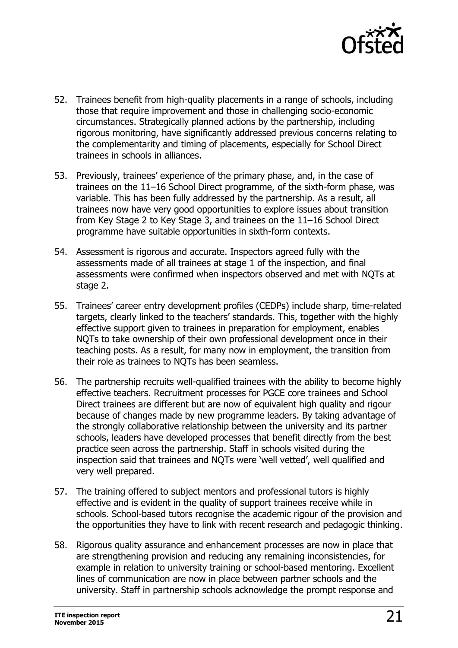

- 52. Trainees benefit from high-quality placements in a range of schools, including those that require improvement and those in challenging socio-economic circumstances. Strategically planned actions by the partnership, including rigorous monitoring, have significantly addressed previous concerns relating to the complementarity and timing of placements, especially for School Direct trainees in schools in alliances.
- 53. Previously, trainees' experience of the primary phase, and, in the case of trainees on the 11–16 School Direct programme, of the sixth-form phase, was variable. This has been fully addressed by the partnership. As a result, all trainees now have very good opportunities to explore issues about transition from Key Stage 2 to Key Stage 3, and trainees on the 11–16 School Direct programme have suitable opportunities in sixth-form contexts.
- 54. Assessment is rigorous and accurate. Inspectors agreed fully with the assessments made of all trainees at stage 1 of the inspection, and final assessments were confirmed when inspectors observed and met with NQTs at stage 2.
- 55. Trainees' career entry development profiles (CEDPs) include sharp, time-related targets, clearly linked to the teachers' standards. This, together with the highly effective support given to trainees in preparation for employment, enables NQTs to take ownership of their own professional development once in their teaching posts. As a result, for many now in employment, the transition from their role as trainees to NQTs has been seamless.
- 56. The partnership recruits well-qualified trainees with the ability to become highly effective teachers. Recruitment processes for PGCE core trainees and School Direct trainees are different but are now of equivalent high quality and rigour because of changes made by new programme leaders. By taking advantage of the strongly collaborative relationship between the university and its partner schools, leaders have developed processes that benefit directly from the best practice seen across the partnership. Staff in schools visited during the inspection said that trainees and NQTs were 'well vetted', well qualified and very well prepared.
- 57. The training offered to subject mentors and professional tutors is highly effective and is evident in the quality of support trainees receive while in schools. School-based tutors recognise the academic rigour of the provision and the opportunities they have to link with recent research and pedagogic thinking.
- 58. Rigorous quality assurance and enhancement processes are now in place that are strengthening provision and reducing any remaining inconsistencies, for example in relation to university training or school-based mentoring. Excellent lines of communication are now in place between partner schools and the university. Staff in partnership schools acknowledge the prompt response and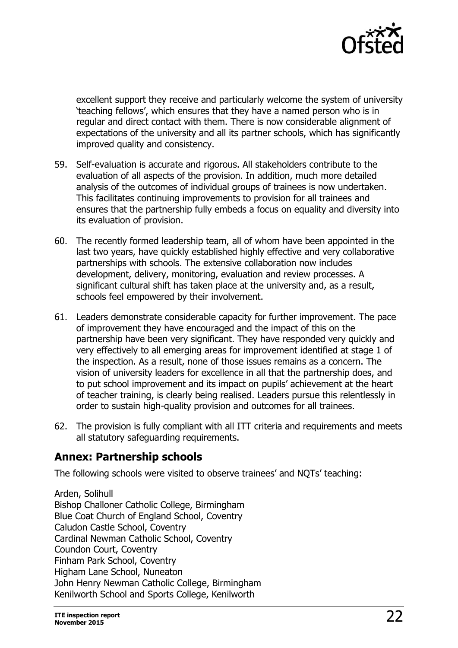

excellent support they receive and particularly welcome the system of university 'teaching fellows', which ensures that they have a named person who is in regular and direct contact with them. There is now considerable alignment of expectations of the university and all its partner schools, which has significantly improved quality and consistency.

- 59. Self-evaluation is accurate and rigorous. All stakeholders contribute to the evaluation of all aspects of the provision. In addition, much more detailed analysis of the outcomes of individual groups of trainees is now undertaken. This facilitates continuing improvements to provision for all trainees and ensures that the partnership fully embeds a focus on equality and diversity into its evaluation of provision.
- 60. The recently formed leadership team, all of whom have been appointed in the last two years, have quickly established highly effective and very collaborative partnerships with schools. The extensive collaboration now includes development, delivery, monitoring, evaluation and review processes. A significant cultural shift has taken place at the university and, as a result, schools feel empowered by their involvement.
- 61. Leaders demonstrate considerable capacity for further improvement. The pace of improvement they have encouraged and the impact of this on the partnership have been very significant. They have responded very quickly and very effectively to all emerging areas for improvement identified at stage 1 of the inspection. As a result, none of those issues remains as a concern. The vision of university leaders for excellence in all that the partnership does, and to put school improvement and its impact on pupils' achievement at the heart of teacher training, is clearly being realised. Leaders pursue this relentlessly in order to sustain high-quality provision and outcomes for all trainees.
- 62. The provision is fully compliant with all ITT criteria and requirements and meets all statutory safeguarding requirements.

#### **Annex: Partnership schools**

The following schools were visited to observe trainees' and NQTs' teaching:

Arden, Solihull Bishop Challoner Catholic College, Birmingham Blue Coat Church of England School, Coventry Caludon Castle School, Coventry Cardinal Newman Catholic School, Coventry Coundon Court, Coventry Finham Park School, Coventry Higham Lane School, Nuneaton John Henry Newman Catholic College, Birmingham Kenilworth School and Sports College, Kenilworth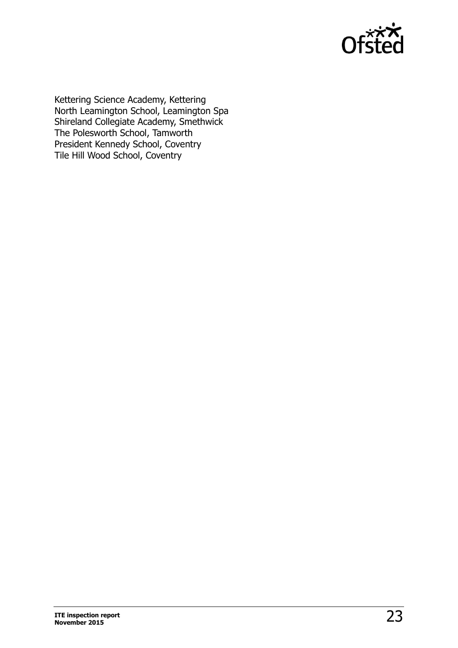

Kettering Science Academy, Kettering North Leamington School, Leamington Spa Shireland Collegiate Academy, Smethwick The Polesworth School, Tamworth President Kennedy School, Coventry Tile Hill Wood School, Coventry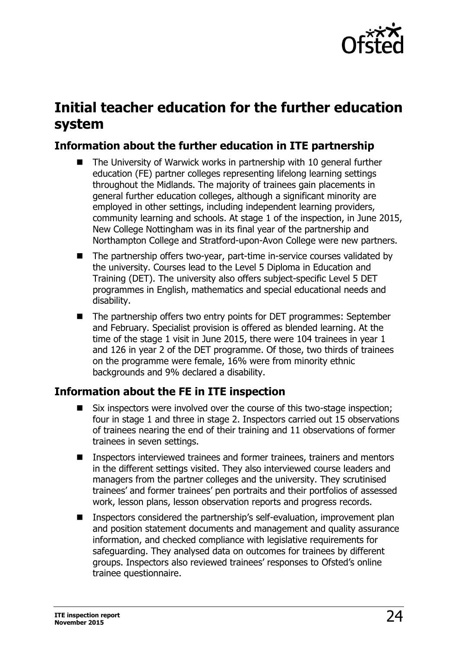

## **Initial teacher education for the further education system**

## **Information about the further education in ITE partnership**

- The University of Warwick works in partnership with 10 general further education (FE) partner colleges representing lifelong learning settings throughout the Midlands. The majority of trainees gain placements in general further education colleges, although a significant minority are employed in other settings, including independent learning providers, community learning and schools. At stage 1 of the inspection, in June 2015, New College Nottingham was in its final year of the partnership and Northampton College and Stratford-upon-Avon College were new partners.
- The partnership offers two-year, part-time in-service courses validated by the university. Courses lead to the Level 5 Diploma in Education and Training (DET). The university also offers subject-specific Level 5 DET programmes in English, mathematics and special educational needs and disability.
- The partnership offers two entry points for DET programmes: September and February. Specialist provision is offered as blended learning. At the time of the stage 1 visit in June 2015, there were 104 trainees in year 1 and 126 in year 2 of the DET programme. Of those, two thirds of trainees on the programme were female, 16% were from minority ethnic backgrounds and 9% declared a disability.

## **Information about the FE in ITE inspection**

- Six inspectors were involved over the course of this two-stage inspection; four in stage 1 and three in stage 2. Inspectors carried out 15 observations of trainees nearing the end of their training and 11 observations of former trainees in seven settings.
- Inspectors interviewed trainees and former trainees, trainers and mentors in the different settings visited. They also interviewed course leaders and managers from the partner colleges and the university. They scrutinised trainees' and former trainees' pen portraits and their portfolios of assessed work, lesson plans, lesson observation reports and progress records.
- Inspectors considered the partnership's self-evaluation, improvement plan and position statement documents and management and quality assurance information, and checked compliance with legislative requirements for safeguarding. They analysed data on outcomes for trainees by different groups. Inspectors also reviewed trainees' responses to Ofsted's online trainee questionnaire.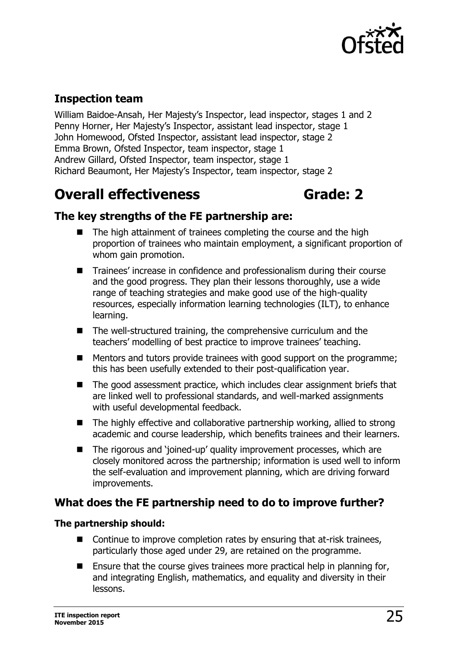

## **Inspection team**

William Baidoe-Ansah, Her Majesty's Inspector, lead inspector, stages 1 and 2 Penny Horner, Her Majesty's Inspector, assistant lead inspector, stage 1 John Homewood, Ofsted Inspector, assistant lead inspector, stage 2 Emma Brown, Ofsted Inspector, team inspector, stage 1 Andrew Gillard, Ofsted Inspector, team inspector, stage 1 Richard Beaumont, Her Majesty's Inspector, team inspector, stage 2

## **Overall effectiveness Grade: 2**

## **The key strengths of the FE partnership are:**

- The high attainment of trainees completing the course and the high proportion of trainees who maintain employment, a significant proportion of whom gain promotion.
- Trainees' increase in confidence and professionalism during their course and the good progress. They plan their lessons thoroughly, use a wide range of teaching strategies and make good use of the high-quality resources, especially information learning technologies (ILT), to enhance learning.
- The well-structured training, the comprehensive curriculum and the teachers' modelling of best practice to improve trainees' teaching.
- Mentors and tutors provide trainees with good support on the programme; this has been usefully extended to their post-qualification year.
- The good assessment practice, which includes clear assignment briefs that are linked well to professional standards, and well-marked assignments with useful developmental feedback.
- The highly effective and collaborative partnership working, allied to strong academic and course leadership, which benefits trainees and their learners.
- The rigorous and 'joined-up' quality improvement processes, which are closely monitored across the partnership; information is used well to inform the self-evaluation and improvement planning, which are driving forward improvements.

## **What does the FE partnership need to do to improve further?**

#### **The partnership should:**

- Continue to improve completion rates by ensuring that at-risk trainees, particularly those aged under 29, are retained on the programme.
- **E** Ensure that the course gives trainees more practical help in planning for, and integrating English, mathematics, and equality and diversity in their lessons.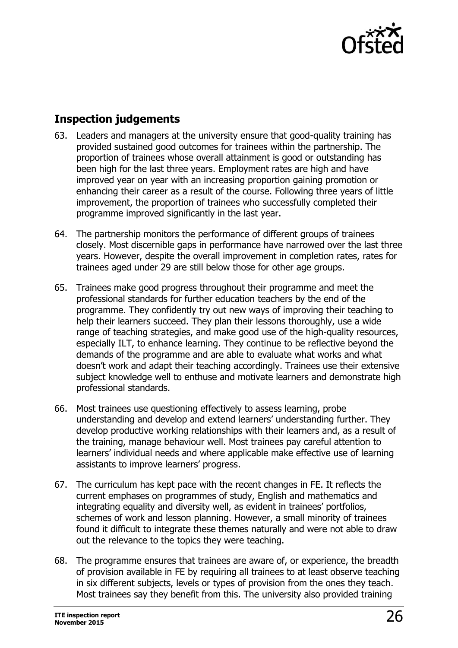

## **Inspection judgements**

- 63. Leaders and managers at the university ensure that good-quality training has provided sustained good outcomes for trainees within the partnership. The proportion of trainees whose overall attainment is good or outstanding has been high for the last three years. Employment rates are high and have improved year on year with an increasing proportion gaining promotion or enhancing their career as a result of the course. Following three years of little improvement, the proportion of trainees who successfully completed their programme improved significantly in the last year.
- 64. The partnership monitors the performance of different groups of trainees closely. Most discernible gaps in performance have narrowed over the last three years. However, despite the overall improvement in completion rates, rates for trainees aged under 29 are still below those for other age groups.
- 65. Trainees make good progress throughout their programme and meet the professional standards for further education teachers by the end of the programme. They confidently try out new ways of improving their teaching to help their learners succeed. They plan their lessons thoroughly, use a wide range of teaching strategies, and make good use of the high-quality resources, especially ILT, to enhance learning. They continue to be reflective beyond the demands of the programme and are able to evaluate what works and what doesn't work and adapt their teaching accordingly. Trainees use their extensive subject knowledge well to enthuse and motivate learners and demonstrate high professional standards.
- 66. Most trainees use questioning effectively to assess learning, probe understanding and develop and extend learners' understanding further. They develop productive working relationships with their learners and, as a result of the training, manage behaviour well. Most trainees pay careful attention to learners' individual needs and where applicable make effective use of learning assistants to improve learners' progress.
- 67. The curriculum has kept pace with the recent changes in FE. It reflects the current emphases on programmes of study, English and mathematics and integrating equality and diversity well, as evident in trainees' portfolios, schemes of work and lesson planning. However, a small minority of trainees found it difficult to integrate these themes naturally and were not able to draw out the relevance to the topics they were teaching.
- 68. The programme ensures that trainees are aware of, or experience, the breadth of provision available in FE by requiring all trainees to at least observe teaching in six different subjects, levels or types of provision from the ones they teach. Most trainees say they benefit from this. The university also provided training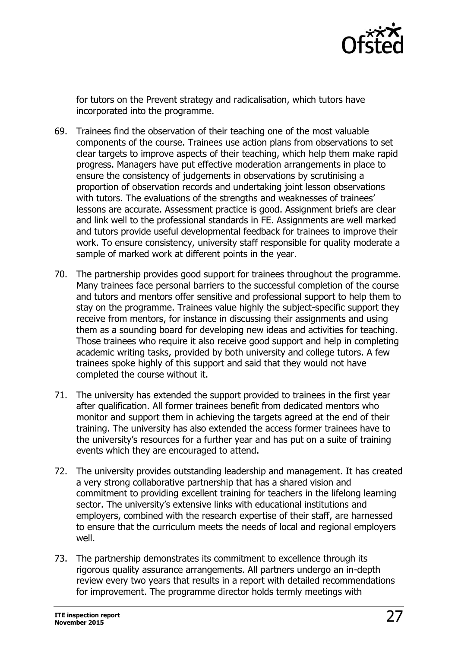

for tutors on the Prevent strategy and radicalisation, which tutors have incorporated into the programme.

- 69. Trainees find the observation of their teaching one of the most valuable components of the course. Trainees use action plans from observations to set clear targets to improve aspects of their teaching, which help them make rapid progress. Managers have put effective moderation arrangements in place to ensure the consistency of judgements in observations by scrutinising a proportion of observation records and undertaking joint lesson observations with tutors. The evaluations of the strengths and weaknesses of trainees' lessons are accurate. Assessment practice is good. Assignment briefs are clear and link well to the professional standards in FE. Assignments are well marked and tutors provide useful developmental feedback for trainees to improve their work. To ensure consistency, university staff responsible for quality moderate a sample of marked work at different points in the year.
- 70. The partnership provides good support for trainees throughout the programme. Many trainees face personal barriers to the successful completion of the course and tutors and mentors offer sensitive and professional support to help them to stay on the programme. Trainees value highly the subject-specific support they receive from mentors, for instance in discussing their assignments and using them as a sounding board for developing new ideas and activities for teaching. Those trainees who require it also receive good support and help in completing academic writing tasks, provided by both university and college tutors. A few trainees spoke highly of this support and said that they would not have completed the course without it.
- 71. The university has extended the support provided to trainees in the first year after qualification. All former trainees benefit from dedicated mentors who monitor and support them in achieving the targets agreed at the end of their training. The university has also extended the access former trainees have to the university's resources for a further year and has put on a suite of training events which they are encouraged to attend.
- 72. The university provides outstanding leadership and management. It has created a very strong collaborative partnership that has a shared vision and commitment to providing excellent training for teachers in the lifelong learning sector. The university's extensive links with educational institutions and employers, combined with the research expertise of their staff, are harnessed to ensure that the curriculum meets the needs of local and regional employers well.
- 73. The partnership demonstrates its commitment to excellence through its rigorous quality assurance arrangements. All partners undergo an in-depth review every two years that results in a report with detailed recommendations for improvement. The programme director holds termly meetings with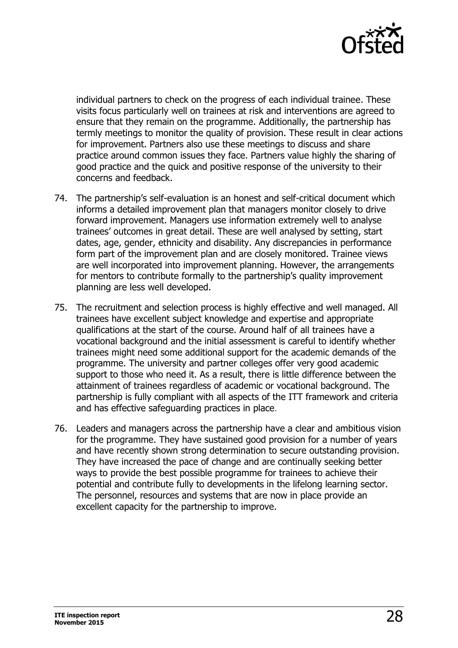

individual partners to check on the progress of each individual trainee. These visits focus particularly well on trainees at risk and interventions are agreed to ensure that they remain on the programme. Additionally, the partnership has termly meetings to monitor the quality of provision. These result in clear actions for improvement. Partners also use these meetings to discuss and share practice around common issues they face. Partners value highly the sharing of good practice and the quick and positive response of the university to their concerns and feedback.

- 74. The partnership's self-evaluation is an honest and self-critical document which informs a detailed improvement plan that managers monitor closely to drive forward improvement. Managers use information extremely well to analyse trainees' outcomes in great detail. These are well analysed by setting, start dates, age, gender, ethnicity and disability. Any discrepancies in performance form part of the improvement plan and are closely monitored. Trainee views are well incorporated into improvement planning. However, the arrangements for mentors to contribute formally to the partnership's quality improvement planning are less well developed.
- 75. The recruitment and selection process is highly effective and well managed. All trainees have excellent subject knowledge and expertise and appropriate qualifications at the start of the course. Around half of all trainees have a vocational background and the initial assessment is careful to identify whether trainees might need some additional support for the academic demands of the programme. The university and partner colleges offer very good academic support to those who need it. As a result, there is little difference between the attainment of trainees regardless of academic or vocational background. The partnership is fully compliant with all aspects of the ITT framework and criteria and has effective safeguarding practices in place.
- 76. Leaders and managers across the partnership have a clear and ambitious vision for the programme. They have sustained good provision for a number of years and have recently shown strong determination to secure outstanding provision. They have increased the pace of change and are continually seeking better ways to provide the best possible programme for trainees to achieve their potential and contribute fully to developments in the lifelong learning sector. The personnel, resources and systems that are now in place provide an excellent capacity for the partnership to improve.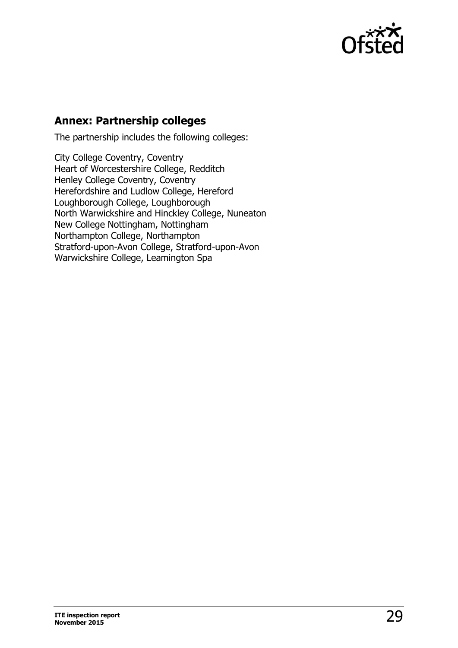

## **Annex: Partnership colleges**

The partnership includes the following colleges:

City College Coventry, Coventry Heart of Worcestershire College, Redditch Henley College Coventry, Coventry Herefordshire and Ludlow College, Hereford Loughborough College, Loughborough North Warwickshire and Hinckley College, Nuneaton New College Nottingham, Nottingham Northampton College, Northampton Stratford-upon-Avon College, Stratford-upon-Avon Warwickshire College, Leamington Spa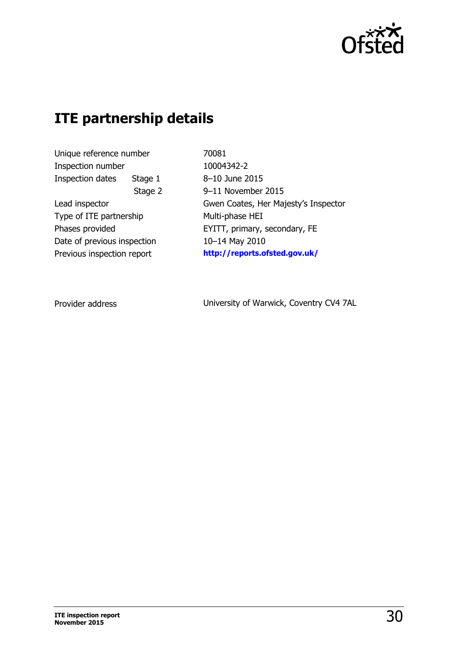

## **ITE partnership details**

Unique reference number Inspection number Inspection dates Stage 1 Stage 2 Lead inspector Type of ITE partnership Phases provided Date of previous inspection Previous inspection report

70081 10004342-2 8–10 June 2015 9–11 November 2015 Gwen Coates, Her Majesty's Inspector Multi-phase HEI EYITT, primary, secondary, FE 10–14 May 2010 **[http://reports.ofsted.gov.uk/](http://reports.ofsted.gov.uk/inspection-reports/find-inspection-report/provider/ELS/70081)**

Provider address

University of Warwick, Coventry CV4 7AL